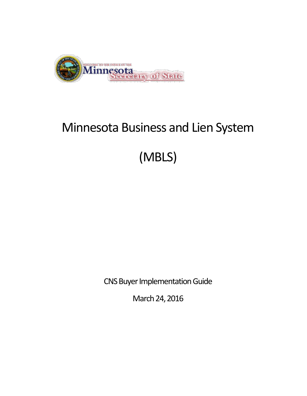

# Minnesota Business and Lien System

# (MBLS)

CNS Buyer Implementation Guide

March 24, 2016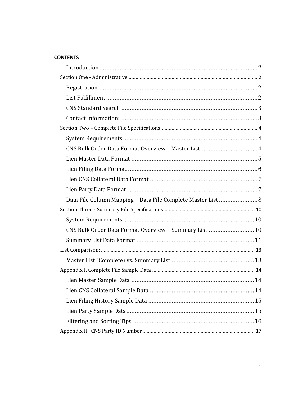#### **CONTENTS**

| CNS Bulk Order Data Format Overview - Summary List  10 |  |
|--------------------------------------------------------|--|
|                                                        |  |
|                                                        |  |
|                                                        |  |
|                                                        |  |
|                                                        |  |
|                                                        |  |
|                                                        |  |
|                                                        |  |
|                                                        |  |
|                                                        |  |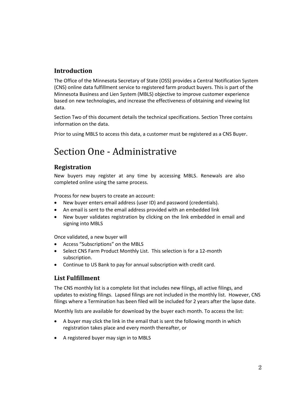## <span id="page-2-0"></span>**Introduction**

The Office of the Minnesota Secretary of State (OSS) provides a Central Notification System (CNS) online data fulfillment service to registered farm product buyers. This is part of the Minnesota Business and Lien System (MBLS) objective to improve customer experience based on new technologies, and increase the effectiveness of obtaining and viewing list data.

Section Two of this document details the technical specifications. Section Three contains information on the data.

Prior to using MBLS to access this data, a customer must be registered as a CNS Buyer.

## <span id="page-2-1"></span>Section One - Administrative

## <span id="page-2-2"></span>**Registration**

New buyers may register at any time by accessing MBLS. Renewals are also completed online using the same process.

Process for new buyers to create an account:

- New buyer enters email address (user ID) and password (credentials).
- An email is sent to the email address provided with an embedded link
- New buyer validates registration by clicking on the link embedded in email and signing into MBLS

Once validated, a new buyer will

- Access "Subscriptions" on the MBLS
- Select CNS Farm Product Monthly List. This selection is for a 12-month subscription.
- Continue to US Bank to pay for annual subscription with credit card.

## <span id="page-2-3"></span>**List Fulfillment**

The CNS monthly list is a complete list that includes new filings, all active filings, and updates to existing filings. Lapsed filings are not included in the monthly list. However, CNS filings where a Termination has been filed will be included for 2 years after the lapse date.

Monthly lists are available for download by the buyer each month. To access the list:

- A buyer may click the link in the email that is sent the following month in which registration takes place and every month thereafter, or
- A registered buyer may sign in to MBLS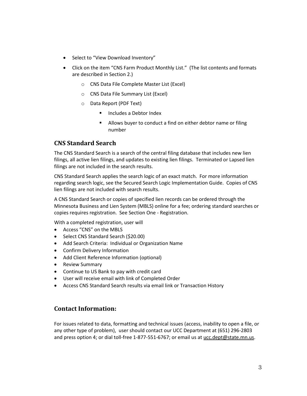- Select to "View Download Inventory"
- Click on the item "CNS Farm Product Monthly List." (The list contents and formats are described in Section 2.)
	- o CNS Data File Complete Master List (Excel)
	- o CNS Data File Summary List (Excel)
	- o Data Report (PDF Text)
		- Includes a Debtor Index
		- Allows buyer to conduct a find on either debtor name or filing number

### <span id="page-3-0"></span>**CNS Standard Search**

The CNS Standard Search is a search of the central filing database that includes new lien filings, all active lien filings, and updates to existing lien filings. Terminated or Lapsed lien filings are not included in the search results.

CNS Standard Search applies the search logic of an exact match. For more information regarding search logic, see the Secured Search Logic Implementation Guide. Copies of CNS lien filings are not included with search results.

A CNS Standard Search or copies of specified lien records can be ordered through the Minnesota Business and Lien System (MBLS) online for a fee; ordering standard searches or copies requires registration. See Section One - Registration.

With a completed registration, user will

- Access "CNS" on the MBLS
- Select CNS Standard Search (\$20.00)
- Add Search Criteria: Individual or Organization Name
- Confirm Delivery Information
- Add Client Reference Information (optional)
- Review Summary
- Continue to US Bank to pay with credit card
- User will receive email with link of Completed Order
- Access CNS Standard Search results via email link or Transaction History

#### <span id="page-3-1"></span>**Contact Information:**

For issues related to data, formatting and technical issues (access, inability to open a file, or any other type of problem), user should contact our UCC Department at (651) 296-2803 and press option 4; or dial toll-free 1-877-551-6767; or email us a[t ucc.dept@state.mn.us.](mailto:ucc.dept@state.mn.us)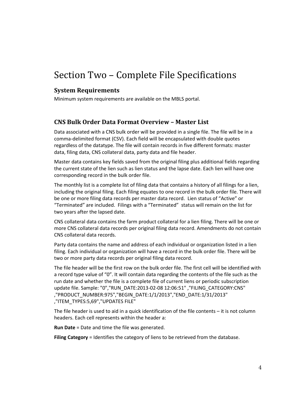# <span id="page-4-0"></span>Section Two – Complete File Specifications

#### <span id="page-4-1"></span>**System Requirements**

Minimum system requirements are available on the MBLS portal.

#### <span id="page-4-2"></span>**CNS Bulk Order Data Format Overview – Master List**

Data associated with a CNS bulk order will be provided in a single file. The file will be in a comma-delimited format (CSV). Each field will be encapsulated with double quotes regardless of the datatype. The file will contain records in five different formats: master data, filing data, CNS collateral data, party data and file header.

Master data contains key fields saved from the original filing plus additional fields regarding the current state of the lien such as lien status and the lapse date. Each lien will have one corresponding record in the bulk order file.

The monthly list is a complete list of filing data that contains a history of all filings for a lien, including the original filing. Each filing equates to one record in the bulk order file. There will be one or more filing data records per master data record. Lien status of "Active" or "Terminated" are included. Filings with a "Terminated" status will remain on the list for two years after the lapsed date.

CNS collateral data contains the farm product collateral for a lien filing. There will be one or more CNS collateral data records per original filing data record. Amendments do not contain CNS collateral data records.

Party data contains the name and address of each individual or organization listed in a lien filing. Each individual or organization will have a record in the bulk order file. There will be two or more party data records per original filing data record.

The file header will be the first row on the bulk order file. The first cell will be identified with a record type value of "0". It will contain data regarding the contents of the file such as the run date and whether the file is a complete file of current liens or periodic subscription update file. Sample: "0","RUN\_DATE:2013-02-08 12:06:51" ,"FILING\_CATEGORY:CNS" ,"PRODUCT\_NUMBER:975","BEGIN\_DATE:1/1/2013","END\_DATE:1/31/2013" ,"ITEM\_TYPES:5,69","UPDATES FILE"

The file header is used to aid in a quick identification of the file contents – it is not column headers. Each cell represents within the header a:

**Run Date** = Date and time the file was generated.

**Filing Category** = Identifies the category of liens to be retrieved from the database.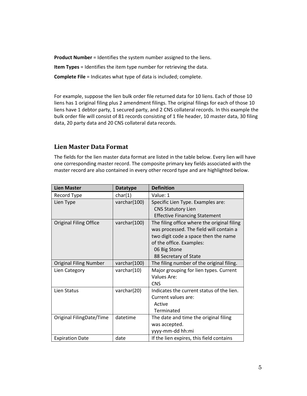**Product Number** = Identifies the system number assigned to the liens.

**Item Types** = Identifies the item type number for retrieving the data.

**Complete File** = Indicates what type of data is included; complete.

For example, suppose the lien bulk order file returned data for 10 liens. Each of those 10 liens has 1 original filing plus 2 amendment filings. The original filings for each of those 10 liens have 1 debtor party, 1 secured party, and 2 CNS collateral records. In this example the bulk order file will consist of 81 records consisting of 1 file header, 10 master data, 30 filing data, 20 party data and 20 CNS collateral data records.

## <span id="page-5-0"></span>**Lien Master Data Format**

The fields for the lien master data format are listed in the table below. Every lien will have one corresponding master record. The composite primary key fields associated with the master record are also contained in every other record type and are highlighted below.

| <b>Lien Master</b>            | <b>Datatype</b> | <b>Definition</b>                           |
|-------------------------------|-----------------|---------------------------------------------|
| Record Type                   | char(1)         | Value: 1                                    |
| Lien Type                     | varchar(100)    | Specific Lien Type. Examples are:           |
|                               |                 | <b>CNS Statutory Lien</b>                   |
|                               |                 | <b>Effective Financing Statement</b>        |
| <b>Original Filing Office</b> | varchar(100)    | The filing office where the original filing |
|                               |                 | was processed. The field will contain a     |
|                               |                 | two digit code a space then the name        |
|                               |                 | of the office. Examples:                    |
|                               |                 | 06 Big Stone                                |
|                               |                 | 88 Secretary of State                       |
| <b>Original Filing Number</b> | varchar(100)    | The filing number of the original filing.   |
| Lien Category                 | varchar(10)     | Major grouping for lien types. Current      |
|                               |                 | Values Are:                                 |
|                               |                 | <b>CNS</b>                                  |
| Lien Status                   | varchar(20)     | Indicates the current status of the lien.   |
|                               |                 | Current values are:                         |
|                               |                 | Active                                      |
|                               |                 | Terminated                                  |
| Original FilingDate/Time      | datetime        | The date and time the original filing       |
|                               |                 | was accepted.                               |
|                               |                 | yyyy-mm-dd hh:mi                            |
| <b>Expiration Date</b>        | date            | If the lien expires, this field contains    |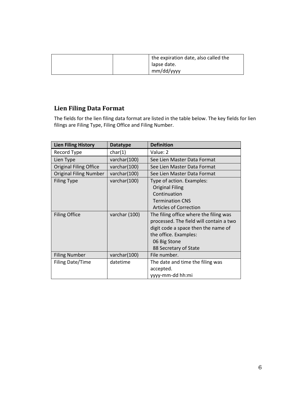| the expiration date, also called the |
|--------------------------------------|
| lapse date.                          |
| mm/dd/yyyy                           |

## <span id="page-6-0"></span>**Lien Filing Data Format**

The fields for the lien filing data format are listed in the table below. The key fields for lien filings are Filing Type, Filing Office and Filing Number.

| <b>Lien Filing History</b>    | <b>Datatype</b> | <b>Definition</b>                       |
|-------------------------------|-----------------|-----------------------------------------|
| Record Type                   | char(1)         | Value: 2                                |
| Lien Type                     | varchar(100)    | See Lien Master Data Format             |
| <b>Original Filing Office</b> | varchar(100)    | See Lien Master Data Format             |
| <b>Original Filing Number</b> | varchar(100)    | See Lien Master Data Format             |
| <b>Filing Type</b>            | varchar(100)    | Type of action. Examples:               |
|                               |                 | <b>Original Filing</b>                  |
|                               |                 | Continuation                            |
|                               |                 | <b>Termination CNS</b>                  |
|                               |                 | <b>Articles of Correction</b>           |
| <b>Filing Office</b>          | varchar (100)   | The filing office where the filing was  |
|                               |                 | processed. The field will contain a two |
|                               |                 | digit code a space then the name of     |
|                               |                 | the office. Examples:                   |
|                               |                 | 06 Big Stone                            |
|                               |                 | 88 Secretary of State                   |
| <b>Filing Number</b>          | varchar(100)    | File number.                            |
| Filing Date/Time              | datetime        | The date and time the filing was        |
|                               |                 | accepted.                               |
|                               |                 | yyyy-mm-dd hh:mi                        |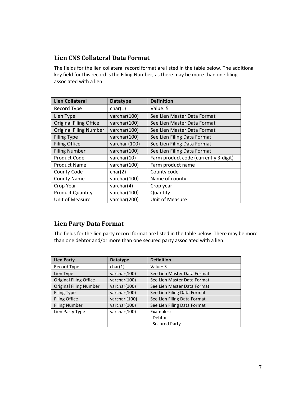## <span id="page-7-0"></span>**Lien CNS Collateral Data Format**

The fields for the lien collateral record format are listed in the table below. The additional key field for this record is the Filing Number, as there may be more than one filing associated with a lien.

| <b>Lien Collateral</b>        | <b>Datatype</b> | <b>Definition</b>                     |
|-------------------------------|-----------------|---------------------------------------|
| Record Type                   | char(1)         | Value: 5                              |
| Lien Type                     | varchar(100)    | See Lien Master Data Format           |
| <b>Original Filing Office</b> | varchar(100)    | See Lien Master Data Format           |
| <b>Original Filing Number</b> | varchar(100)    | See Lien Master Data Format           |
| <b>Filing Type</b>            | varchar(100)    | See Lien Filing Data Format           |
| <b>Filing Office</b>          | varchar (100)   | See Lien Filing Data Format           |
| <b>Filing Number</b>          | varchar(100)    | See Lien Filing Data Format           |
| <b>Product Code</b>           | varchar(10)     | Farm product code (currently 3-digit) |
| <b>Product Name</b>           | varchar(100)    | Farm product name                     |
| County Code                   | char(2)         | County code                           |
| <b>County Name</b>            | varchar(100)    | Name of county                        |
| Crop Year                     | varchar $(4)$   | Crop year                             |
| <b>Product Quantity</b>       | varchar(100)    | Quantity                              |
| Unit of Measure               | varchar(200)    | Unit of Measure                       |

## <span id="page-7-1"></span>**Lien Party Data Format**

The fields for the lien party record format are listed in the table below. There may be more than one debtor and/or more than one secured party associated with a lien.

| <b>Lien Party</b>             | <b>Datatype</b> | <b>Definition</b>           |
|-------------------------------|-----------------|-----------------------------|
| Record Type                   | char(1)         | Value: 3                    |
| Lien Type                     | varchar(100)    | See Lien Master Data Format |
| <b>Original Filing Office</b> | varchar(100)    | See Lien Master Data Format |
| <b>Original Filing Number</b> | varchar(100)    | See Lien Master Data Format |
| Filing Type                   | varchar(100)    | See Lien Filing Data Format |
| <b>Filing Office</b>          | varchar (100)   | See Lien Filing Data Format |
| <b>Filing Number</b>          | varchar(100)    | See Lien Filing Data Format |
| Lien Party Type               | varchar(100)    | Examples:                   |
|                               |                 | Debtor                      |
|                               |                 | Secured Party               |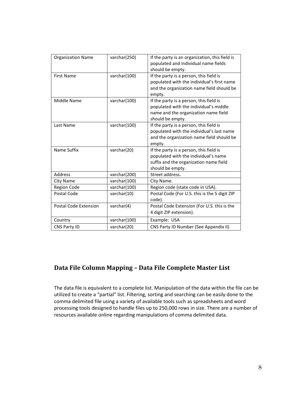| <b>Organization Name</b>     | varchar(250) | If the party is an organization, this field is<br>populated and individual name fields<br>should be empty.                                    |
|------------------------------|--------------|-----------------------------------------------------------------------------------------------------------------------------------------------|
| <b>First Name</b>            | varchar(100) | If the party is a person, this field is<br>populated with the individual's first name<br>and the organization name field should be<br>empty.  |
| Middle Name                  | varchar(100) | If the party is a person, this field is<br>populated with the individual's middle<br>name and the organization name field<br>should be empty. |
| Last Name                    | varchar(100) | If the party is a person, this field is<br>populated with the individual's last name<br>and the organization name field should be<br>empty.   |
| Name Suffix                  | varchar(20)  | If the party is a person, this field is<br>populated with the individual's name<br>suffix and the organization name field<br>should be empty. |
| Address                      | varchar(200) | Street address.                                                                                                                               |
| City Name                    | varchar(100) | City Name.                                                                                                                                    |
| Region Code                  | varchar(100) | Region code (state code in USA).                                                                                                              |
| Postal Code                  | varchar(10)  | Postal Code (For U.S. this is the 5 digit ZIP<br>code).                                                                                       |
| <b>Postal Code Extension</b> | varchar(4)   | Postal Code Extension (For U.S. this is the<br>4 digit ZIP extension).                                                                        |
| Country                      | varchar(100) | Example: USA                                                                                                                                  |
| CNS Party ID                 | varchar(20)  | CNS Party ID Number (See Appendix II)                                                                                                         |

## <span id="page-8-0"></span>**Data File Column Mapping – Data File Complete Master List**

The data file is equivalent to a complete list. Manipulation of the data within the file can be utilized to create a "partial" list. Filtering, sorting and searching can be easily done to the comma delimited file using a variety of available tools such as spreadsheets and word processing tools designed to handle files up to 250,000 rows in size. There are a number of resources available online regarding manipulations of comma delimited data.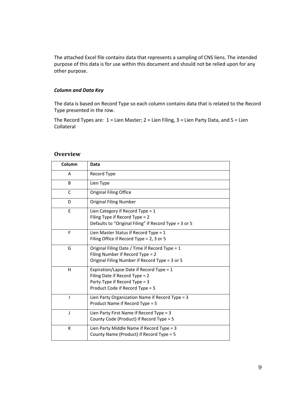The attached Excel file contains data that represents a sampling of CNS liens. The intended purpose of this data is for use within this document and should not be relied upon for any other purpose.

#### *Column and Data Key*

The data is based on Record Type so each column contains data that is related to the Record Type presented in the row.

The Record Types are: 1 = Lien Master; 2 = Lien Filing, 3 = Lien Party Data, and 5 = Lien Collateral

#### **Overview**

| Column | Data                                                                                                                                           |
|--------|------------------------------------------------------------------------------------------------------------------------------------------------|
| A      | Record Type                                                                                                                                    |
| B      | Lien Type                                                                                                                                      |
| C      | <b>Original Filing Office</b>                                                                                                                  |
| D      | <b>Original Filing Number</b>                                                                                                                  |
| E      | Lien Category if Record Type = $1$<br>Filing Type if Record Type = 2<br>Defaults to "Original Filing" if Record Type = 3 or 5                  |
| F      | Lien Master Status if Record Type = $1$<br>Filing Office if Record Type = 2, 3 or 5                                                            |
| G      | Original Filing Date / Time if Record Type = 1<br>Filing Number if Record Type = 2<br>Original Filing Number if Record Type = 3 or 5           |
| н      | Expiration/Lapse Date if Record Type = 1<br>Filing Date if Record Type = 2<br>Party Type if Record Type = 3<br>Product Code if Record Type = 5 |
|        | Lien Party Organization Name if Record Type = 3<br>Product Name if Record Type = 5                                                             |
| J      | Lien Party First Name if Record Type = 3<br>County Code (Product) if Record Type = 5                                                           |
| К      | Lien Party Middle Name if Record Type = 3<br>County Name (Product) if Record Type = 5                                                          |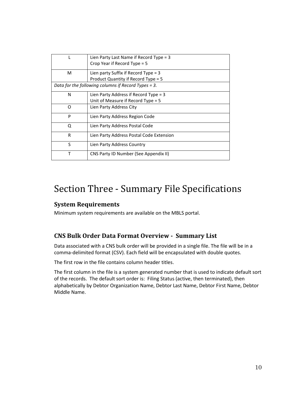|   | Lien Party Last Name if Record Type = $3$<br>Crop Year if Record Type $= 5$   |
|---|-------------------------------------------------------------------------------|
| М | Lien party Suffix if Record Type $=$ 3<br>Product Quantity if Record Type = 5 |
|   | Data for the following columns if Record Types = 3.                           |
| N | Lien Party Address if Record Type $=$ 3                                       |
|   | Unit of Measure if Record Type = $5$                                          |
| O | Lien Party Address City                                                       |
| P | Lien Party Address Region Code                                                |
| Ο | Lien Party Address Postal Code                                                |
| R | Lien Party Address Postal Code Extension                                      |
| S | Lien Party Address Country                                                    |
| т | CNS Party ID Number (See Appendix II)                                         |

## <span id="page-10-0"></span>Section Three - Summary File Specifications

## <span id="page-10-1"></span>**System Requirements**

Minimum system requirements are available on the MBLS portal.

## <span id="page-10-2"></span>**CNS Bulk Order Data Format Overview - Summary List**

Data associated with a CNS bulk order will be provided in a single file. The file will be in a comma-delimited format (CSV). Each field will be encapsulated with double quotes.

The first row in the file contains column header titles.

The first column in the file is a system generated number that is used to indicate default sort of the records. The default sort order is: Filing Status (active, then terminated), then alphabetically by Debtor Organization Name, Debtor Last Name, Debtor First Name, Debtor Middle Name.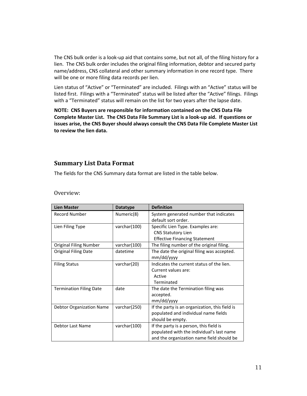The CNS bulk order is a look-up aid that contains some, but not all, of the filing history for a lien. The CNS bulk order includes the original filing information, debtor and secured party name/address, CNS collateral and other summary information in one record type. There will be one or more filing data records per lien.

Lien status of "Active" or "Terminated" are included. Filings with an "Active" status will be listed first. Filings with a "Terminated" status will be listed after the "Active" filings. Filings with a "Terminated" status will remain on the list for two years after the lapse date.

**NOTE: CNS Buyers are responsible for information contained on the CNS Data File Complete Master List. The CNS Data File Summary List is a look-up aid. If questions or issues arise, the CNS Buyer should always consult the CNS Data File Complete Master List to review the lien data.**

#### <span id="page-11-0"></span>**Summary List Data Format**

The fields for the CNS Summary data format are listed in the table below.

| <b>Lien Master</b>              | <b>Datatype</b> | <b>Definition</b>                                                                                                                 |
|---------------------------------|-----------------|-----------------------------------------------------------------------------------------------------------------------------------|
| <b>Record Number</b>            | Numeric(8)      | System generated number that indicates<br>default sort order.                                                                     |
| Lien Filing Type                | varchar(100)    | Specific Lien Type. Examples are:<br><b>CNS Statutory Lien</b><br><b>Effective Financing Statement</b>                            |
| <b>Original Filing Number</b>   | varchar(100)    | The filing number of the original filing.                                                                                         |
| <b>Original Filing Date</b>     | datetime        | The date the original filing was accepted.<br>mm/dd/yyyy                                                                          |
| <b>Filing Status</b>            | varchar(20)     | Indicates the current status of the lien.<br>Current values are:<br>Active<br>Terminated                                          |
| <b>Termination Filing Date</b>  | date            | The date the Termination filing was<br>accepted.<br>mm/dd/yyyy                                                                    |
| <b>Debtor Organization Name</b> | varchar(250)    | If the party is an organization, this field is<br>populated and individual name fields<br>should be empty.                        |
| Debtor Last Name                | varchar(100)    | If the party is a person, this field is<br>populated with the individual's last name<br>and the organization name field should be |

#### Overview: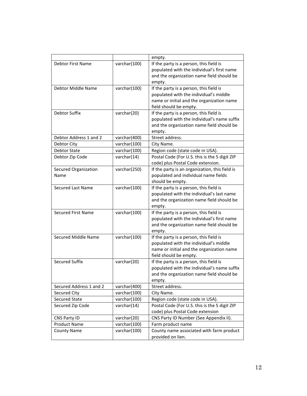|                          |              | empty.                                         |
|--------------------------|--------------|------------------------------------------------|
| <b>Debtor First Name</b> | varchar(100) | If the party is a person, this field is        |
|                          |              | populated with the individual's first name     |
|                          |              | and the organization name field should be      |
|                          |              | empty.                                         |
| Debtor Middle Name       | varchar(100) | If the party is a person, this field is        |
|                          |              | populated with the individual's middle         |
|                          |              | name or initial and the organization name      |
|                          |              | field should be empty.                         |
| Debtor Suffix            | varchar(20)  | If the party is a person, this field is        |
|                          |              | populated with the individual's name suffix    |
|                          |              | and the organization name field should be      |
|                          |              | empty.                                         |
| Debtor Address 1 and 2   | varchar(400) | Street address.                                |
| Debtor City              | varchar(100) | City Name.                                     |
| <b>Debtor State</b>      | varchar(100) | Region code (state code in USA).               |
| Debtor Zip Code          | varchar(14)  | Postal Code (For U.S. this is the 5 digit ZIP  |
|                          |              | code) plus Postal Code extension.              |
| Secured Organization     | varchar(250) | If the party is an organization, this field is |
| Name                     |              | populated and individual name fields           |
|                          |              | should be empty.                               |
| <b>Secured Last Name</b> | varchar(100) | If the party is a person, this field is        |
|                          |              | populated with the individual's last name      |
|                          |              | and the organization name field should be      |
|                          |              | empty.                                         |
| Secured First Name       | varchar(100) | If the party is a person, this field is        |
|                          |              | populated with the individual's first name     |
|                          |              | and the organization name field should be      |
|                          |              | empty.                                         |
| Secured Middle Name      | varchar(100) | If the party is a person, this field is        |
|                          |              | populated with the individual's middle         |
|                          |              | name or initial and the organization name      |
| <b>Secured Suffix</b>    |              | field should be empty.                         |
|                          | varchar(20)  | If the party is a person, this field is        |
|                          |              | populated with the individual's name suffix    |
|                          |              | and the organization name field should be      |
|                          |              | empty.                                         |
| Secured Address 1 and 2  | varchar(400) | Street address.                                |
| Secured City             | varchar(100) | City Name.                                     |
| <b>Secured State</b>     | varchar(100) | Region code (state code in USA).               |
| Secured Zip Code         | varchar(14)  | Postal Code (For U.S. this is the 5 digit ZIP  |
|                          |              | code) plus Postal Code extension               |
| CNS Party ID             | varchar(20)  | CNS Party ID Number (See Appendix II).         |
| <b>Product Name</b>      | varchar(100) | Farm product name                              |
| <b>County Name</b>       | varchar(100) | County name associated with farm product       |
|                          |              | provided on lien.                              |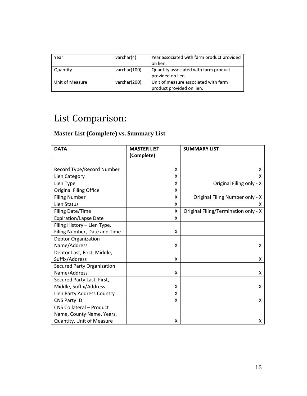| Year            | varchar(4)   | Year associated with farm product provided |
|-----------------|--------------|--------------------------------------------|
|                 |              | on lien.                                   |
| Quantity        | varchar(100) | Quantity associated with farm product      |
|                 |              | provided on lien.                          |
| Unit of Measure | varchar(200) | Unit of measure associated with farm       |
|                 |              | product provided on lien.                  |

# <span id="page-13-0"></span>List Comparison:

## <span id="page-13-1"></span>**Master List (Complete) vs. Summary List**

| <b>DATA</b>                       | <b>MASTER LIST</b> | <b>SUMMARY LIST</b>                  |
|-----------------------------------|--------------------|--------------------------------------|
|                                   | (Complete)         |                                      |
|                                   |                    |                                      |
| Record Type/Record Number         | x                  | x                                    |
| Lien Category                     | X                  | x                                    |
| Lien Type                         | X                  | Original Filing only - X             |
| <b>Original Filing Office</b>     | X                  |                                      |
| <b>Filing Number</b>              | X                  | Original Filing Number only - X      |
| Lien Status                       | Χ                  | X                                    |
| <b>Filing Date/Time</b>           | X                  | Original Filing/Termination only - X |
| <b>Expiration/Lapse Date</b>      | X                  |                                      |
| Filing History - Lien Type,       |                    |                                      |
| Filing Number, Date and Time      | X                  |                                      |
| <b>Debtor Organization</b>        |                    |                                      |
| Name/Address                      | X                  | X                                    |
| Debtor Last, First, Middle,       |                    |                                      |
| Suffix/Address                    | X                  | X                                    |
| <b>Secured Party Organization</b> |                    |                                      |
| Name/Address                      | Χ                  | x                                    |
| Secured Party Last, First,        |                    |                                      |
| Middle, Suffix/Address            | X                  | X                                    |
| Lien Party Address Country        | X                  |                                      |
| CNS Party ID                      | Χ                  | X                                    |
| CNS Collateral - Product          |                    |                                      |
| Name, County Name, Years,         |                    |                                      |
| Quantity, Unit of Measure         | Χ                  | x                                    |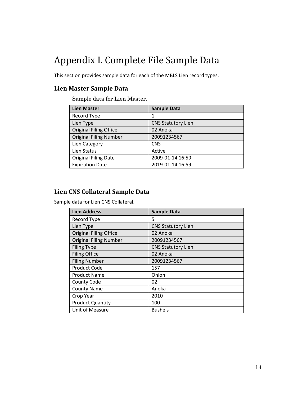# <span id="page-14-0"></span>Appendix I. Complete File Sample Data

This section provides sample data for each of the MBLS Lien record types.

## <span id="page-14-1"></span>**Lien Master Sample Data**

Sample data for Lien Master.

| <b>Lien Master</b>            | <b>Sample Data</b>        |
|-------------------------------|---------------------------|
| Record Type                   | 1                         |
| Lien Type                     | <b>CNS Statutory Lien</b> |
| <b>Original Filing Office</b> | 02 Anoka                  |
| <b>Original Filing Number</b> | 20091234567               |
| Lien Category                 | <b>CNS</b>                |
| Lien Status                   | Active                    |
| <b>Original Filing Date</b>   | 2009-01-14 16:59          |
| <b>Expiration Date</b>        | 2019-01-14 16:59          |

#### <span id="page-14-2"></span>**Lien CNS Collateral Sample Data**

Sample data for Lien CNS Collateral.

| <b>Lien Address</b>           | <b>Sample Data</b>        |
|-------------------------------|---------------------------|
| Record Type                   | 5                         |
| Lien Type                     | <b>CNS Statutory Lien</b> |
| <b>Original Filing Office</b> | 02 Anoka                  |
| <b>Original Filing Number</b> | 20091234567               |
| <b>Filing Type</b>            | <b>CNS Statutory Lien</b> |
| <b>Filing Office</b>          | 02 Anoka                  |
| <b>Filing Number</b>          | 20091234567               |
| <b>Product Code</b>           | 157                       |
| <b>Product Name</b>           | Onion                     |
| <b>County Code</b>            | 02                        |
| <b>County Name</b>            | Anoka                     |
| Crop Year                     | 2010                      |
| <b>Product Quantity</b>       | 100                       |
| Unit of Measure               | <b>Bushels</b>            |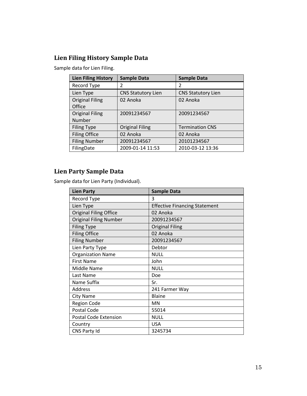## <span id="page-15-0"></span>**Lien Filing History Sample Data**

Sample data for Lien Filing.

| <b>Lien Filing History</b> | <b>Sample Data</b>        | <b>Sample Data</b>        |
|----------------------------|---------------------------|---------------------------|
| Record Type                | 2                         | 2                         |
| Lien Type                  | <b>CNS Statutory Lien</b> | <b>CNS Statutory Lien</b> |
| <b>Original Filing</b>     | 02 Anoka                  | 02 Anoka                  |
| Office                     |                           |                           |
| <b>Original Filing</b>     | 20091234567               | 20091234567               |
| Number                     |                           |                           |
| <b>Filing Type</b>         | <b>Original Filing</b>    | <b>Termination CNS</b>    |
| <b>Filing Office</b>       | 02 Anoka                  | 02 Anoka                  |
| <b>Filing Number</b>       | 20091234567               | 20101234567               |
| FilingDate                 | 2009-01-14 11:53          | 2010-03-12 13:36          |

## <span id="page-15-1"></span>**Lien Party Sample Data**

Sample data for Lien Party (Individual).

| <b>Lien Party</b>             | <b>Sample Data</b>                   |
|-------------------------------|--------------------------------------|
| Record Type                   | 3                                    |
| Lien Type                     | <b>Effective Financing Statement</b> |
| Original Filing Office        | 02 Anoka                             |
| <b>Original Filing Number</b> | 20091234567                          |
| <b>Filing Type</b>            | <b>Original Filing</b>               |
| <b>Filing Office</b>          | 02 Anoka                             |
| <b>Filing Number</b>          | 20091234567                          |
| Lien Party Type               | Debtor                               |
| <b>Organization Name</b>      | <b>NULL</b>                          |
| <b>First Name</b>             | John                                 |
| Middle Name                   | <b>NULL</b>                          |
| Last Name                     | Doe                                  |
| Name Suffix                   | Sr.                                  |
| Address                       | 241 Farmer Way                       |
| <b>City Name</b>              | <b>Blaine</b>                        |
| <b>Region Code</b>            | MN                                   |
| Postal Code                   | 55014                                |
| <b>Postal Code Extension</b>  | <b>NULL</b>                          |
| Country                       | <b>USA</b>                           |
| CNS Party Id                  | 3245734                              |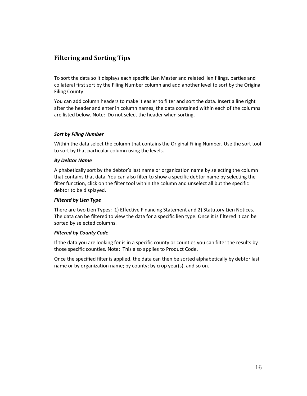## <span id="page-16-0"></span>**Filtering and Sorting Tips**

To sort the data so it displays each specific Lien Master and related lien filings, parties and collateral first sort by the Filing Number column and add another level to sort by the Original Filing County.

You can add column headers to make it easier to filter and sort the data. Insert a line right after the header and enter in column names, the data contained within each of the columns are listed below. Note: Do not select the header when sorting.

#### *Sort by Filing Number*

Within the data select the column that contains the Original Filing Number. Use the sort tool to sort by that particular column using the levels.

#### *By Debtor Name*

Alphabetically sort by the debtor's last name or organization name by selecting the column that contains that data. You can also filter to show a specific debtor name by selecting the filter function, click on the filter tool within the column and unselect all but the specific debtor to be displayed.

#### *Filtered by Lien Type*

There are two Lien Types: 1) Effective Financing Statement and 2) Statutory Lien Notices. The data can be filtered to view the data for a specific lien type. Once it is filtered it can be sorted by selected columns.

#### *Filtered by County Code*

If the data you are looking for is in a specific county or counties you can filter the results by those specific counties. Note: This also applies to Product Code.

Once the specified filter is applied, the data can then be sorted alphabetically by debtor last name or by organization name; by county; by crop year(s), and so on.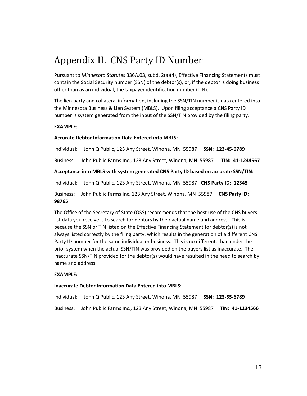# <span id="page-17-0"></span>Appendix II. CNS Party ID Number

Pursuant to *Minnesota Statutes* 336A.03, subd. 2(a)(4), Effective Financing Statements must contain the Social Security number (SSN) of the debtor(s), or, if the debtor is doing business other than as an individual, the taxpayer identification number (TIN).

The lien party and collateral information, including the SSN/TIN number is data entered into the Minnesota Business & Lien System (MBLS). Upon filing acceptance a CNS Party ID number is system generated from the input of the SSN/TIN provided by the filing party.

#### **EXAMPLE:**

#### **Accurate Debtor Information Data Entered into MBLS:**

Individual: John Q Public, 123 Any Street, Winona, MN 55987 **SSN: 123-45-6789** Business: John Public Farms Inc., 123 Any Street, Winona, MN 55987 **TIN: 41-1234567 Acceptance into MBLS with system generated CNS Party ID based on accurate SSN/TIN:** Individual: John Q Public, 123 Any Street, Winona, MN 55987 **CNS Party ID: 12345** Business: John Public Farms Inc, 123 Any Street, Winona, MN 55987 **CNS Party ID: 98765**

The Office of the Secretary of State (OSS) recommends that the best use of the CNS buyers list data you receive is to search for debtors by their actual name and address. This is because the SSN or TIN listed on the Effective Financing Statement for debtor(s) is not always listed correctly by the filing party, which results in the generation of a different CNS Party ID number for the same individual or business. This is no different, than under the prior system when the actual SSN/TIN was provided on the buyers list as inaccurate. The inaccurate SSN/TIN provided for the debtor(s) would have resulted in the need to search by name and address.

#### **EXAMPLE:**

#### **Inaccurate Debtor Information Data Entered into MBLS:**

Individual: John Q Public, 123 Any Street, Winona, MN 55987 **SSN: 123-55-6789** Business: John Public Farms Inc., 123 Any Street, Winona, MN 55987 **TIN: 41-1234566**